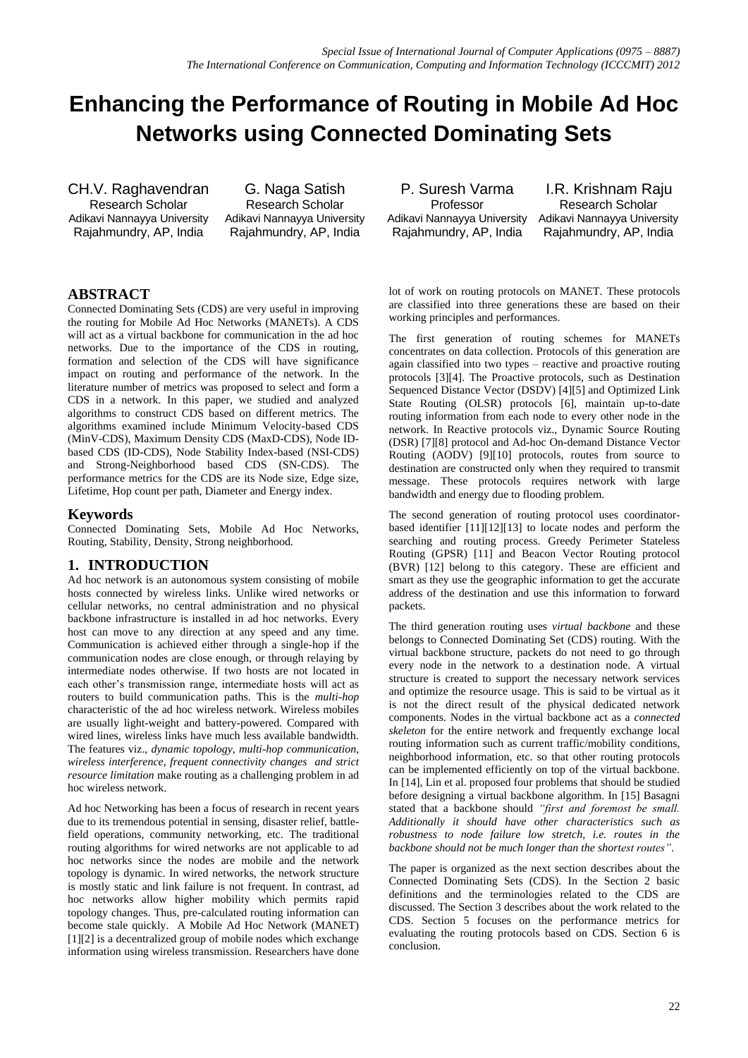# **Enhancing the Performance of Routing in Mobile Ad Hoc Networks using Connected Dominating Sets**

CH.V. Raghavendran Research Scholar Adikavi Nannayya University Rajahmundry, AP, India

G. Naga Satish Research Scholar Adikavi Nannayya University Rajahmundry, AP, India

P. Suresh Varma Professor Adikavi Nannayya University Rajahmundry, AP, India

I.R. Krishnam Raju Research Scholar Adikavi Nannayya University Rajahmundry, AP, India

# **ABSTRACT**

Connected Dominating Sets (CDS) are very useful in improving the routing for Mobile Ad Hoc Networks (MANETs). A CDS will act as a virtual backbone for communication in the ad hoc networks. Due to the importance of the CDS in routing, formation and selection of the CDS will have significance impact on routing and performance of the network. In the literature number of metrics was proposed to select and form a CDS in a network. In this paper, we studied and analyzed algorithms to construct CDS based on different metrics. The algorithms examined include Minimum Velocity-based CDS (MinV-CDS), Maximum Density CDS (MaxD-CDS), Node IDbased CDS (ID-CDS), Node Stability Index-based (NSI-CDS) and Strong-Neighborhood based CDS (SN-CDS). The performance metrics for the CDS are its Node size, Edge size, Lifetime, Hop count per path, Diameter and Energy index.

### **Keywords**

Connected Dominating Sets, Mobile Ad Hoc Networks, Routing, Stability, Density, Strong neighborhood.

### **1. INTRODUCTION**

Ad hoc network is an autonomous system consisting of mobile hosts connected by wireless links. Unlike wired networks or cellular networks, no central administration and no physical backbone infrastructure is installed in ad hoc networks. Every host can move to any direction at any speed and any time. Communication is achieved either through a single-hop if the communication nodes are close enough, or through relaying by intermediate nodes otherwise. If two hosts are not located in each other's transmission range, intermediate hosts will act as routers to build communication paths. This is the *multi-hop*  characteristic of the ad hoc wireless network. Wireless mobiles are usually light-weight and battery-powered. Compared with wired lines, wireless links have much less available bandwidth. The features viz., *dynamic topology, multi-hop communication, wireless interference, frequent connectivity changes and strict resource limitation* make routing as a challenging problem in ad hoc wireless network.

Ad hoc Networking has been a focus of research in recent years due to its tremendous potential in sensing, disaster relief, battlefield operations, community networking, etc. The traditional routing algorithms for wired networks are not applicable to ad hoc networks since the nodes are mobile and the network topology is dynamic. In wired networks, the network structure is mostly static and link failure is not frequent. In contrast, ad hoc networks allow higher mobility which permits rapid topology changes. Thus, pre-calculated routing information can become stale quickly. A Mobile Ad Hoc Network (MANET) [1][2] is a decentralized group of mobile nodes which exchange information using wireless transmission. Researchers have done lot of work on routing protocols on MANET. These protocols are classified into three generations these are based on their working principles and performances.

The first generation of routing schemes for MANETs concentrates on data collection. Protocols of this generation are again classified into two types – reactive and proactive routing protocols [3][4]. The Proactive protocols, such as Destination Sequenced Distance Vector (DSDV) [4][5] and Optimized Link State Routing (OLSR) protocols [6], maintain up-to-date routing information from each node to every other node in the network. In Reactive protocols viz., Dynamic Source Routing (DSR) [7][8] protocol and Ad-hoc On-demand Distance Vector Routing (AODV) [9][10] protocols, routes from source to destination are constructed only when they required to transmit message. These protocols requires network with large bandwidth and energy due to flooding problem.

The second generation of routing protocol uses coordinatorbased identifier [11][12][13] to locate nodes and perform the searching and routing process. Greedy Perimeter Stateless Routing (GPSR) [11] and Beacon Vector Routing protocol (BVR) [12] belong to this category. These are efficient and smart as they use the geographic information to get the accurate address of the destination and use this information to forward packets.

The third generation routing uses *virtual backbone* and these belongs to Connected Dominating Set (CDS) routing. With the virtual backbone structure, packets do not need to go through every node in the network to a destination node. A virtual structure is created to support the necessary network services and optimize the resource usage. This is said to be virtual as it is not the direct result of the physical dedicated network components. Nodes in the virtual backbone act as a *connected skeleton* for the entire network and frequently exchange local routing information such as current traffic/mobility conditions, neighborhood information, etc. so that other routing protocols can be implemented efficiently on top of the virtual backbone. In [14], Lin et al. proposed four problems that should be studied before designing a virtual backbone algorithm. In [15] Basagni stated that a backbone should *"first and foremost be small. Additionally it should have other characteristics such as robustness to node failure low stretch, i.e. routes in the backbone should not be much longer than the shortest routes"*.

The paper is organized as the next section describes about the Connected Dominating Sets (CDS). In the Section 2 basic definitions and the terminologies related to the CDS are discussed. The Section 3 describes about the work related to the CDS. Section 5 focuses on the performance metrics for evaluating the routing protocols based on CDS. Section 6 is conclusion.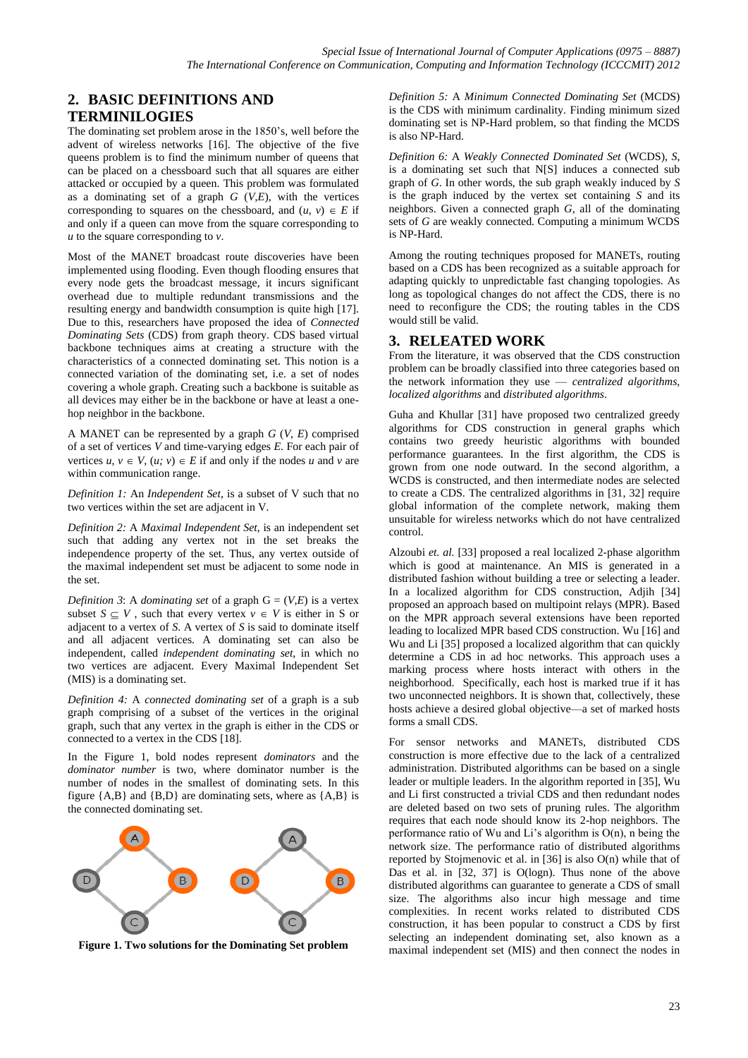# **2. BASIC DEFINITIONS AND TERMINILOGIES**

The dominating set problem arose in the 1850's, well before the advent of wireless networks [16]. The objective of the five queens problem is to find the minimum number of queens that can be placed on a chessboard such that all squares are either attacked or occupied by a queen. This problem was formulated as a dominating set of a graph *G* (*V*,*E*), with the vertices corresponding to squares on the chessboard, and  $(u, v) \in E$  if and only if a queen can move from the square corresponding to *u* to the square corresponding to *v*.

Most of the MANET broadcast route discoveries have been implemented using flooding. Even though flooding ensures that every node gets the broadcast message, it incurs significant overhead due to multiple redundant transmissions and the resulting energy and bandwidth consumption is quite high [17]. Due to this, researchers have proposed the idea of *Connected Dominating Sets* (CDS) from graph theory. CDS based virtual backbone techniques aims at creating a structure with the characteristics of a connected dominating set. This notion is a connected variation of the dominating set, i.e. a set of nodes covering a whole graph. Creating such a backbone is suitable as all devices may either be in the backbone or have at least a onehop neighbor in the backbone.

A MANET can be represented by a graph *G* (*V, E*) comprised of a set of vertices *V* and time-varying edges *E*. For each pair of vertices  $u, v \in V$ ,  $(u, v) \in E$  if and only if the nodes *u* and *v* are within communication range.

*Definition 1:* An *Independent Set*, is a subset of V such that no two vertices within the set are adjacent in V.

*Definition 2:* A *Maximal Independent Set*, is an independent set such that adding any vertex not in the set breaks the independence property of the set. Thus, any vertex outside of the maximal independent set must be adjacent to some node in the set.

*Definition* 3: A *dominating set* of a graph  $G = (V,E)$  is a vertex subset  $S \subseteq V$ , such that every vertex  $v \in V$  is either in S or adjacent to a vertex of *S*. A vertex of *S* is said to dominate itself and all adjacent vertices. A dominating set can also be independent, called *independent dominating set*, in which no two vertices are adjacent. Every Maximal Independent Set (MIS) is a dominating set.

*Definition 4:* A *connected dominating set* of a graph is a sub graph comprising of a subset of the vertices in the original graph, such that any vertex in the graph is either in the CDS or connected to a vertex in the CDS [18].

In the Figure 1, bold nodes represent *dominators* and the *dominator number* is two, where dominator number is the number of nodes in the smallest of dominating sets. In this figure  ${A,B}$  and  ${B,D}$  are dominating sets, where as  ${A,B}$  is the connected dominating set.



**Figure 1. Two solutions for the Dominating Set problem**

*Definition 5:* A *Minimum Connected Dominating Set* (MCDS) is the CDS with minimum cardinality. Finding minimum sized dominating set is NP-Hard problem, so that finding the MCDS is also NP-Hard.

*Definition 6:* A *Weakly Connected Dominated Set* (WCDS), *S*, is a dominating set such that N[S] induces a connected sub graph of *G*. In other words, the sub graph weakly induced by *S* is the graph induced by the vertex set containing *S* and its neighbors. Given a connected graph *G*, all of the dominating sets of *G* are weakly connected. Computing a minimum WCDS is NP-Hard.

Among the routing techniques proposed for MANETs, routing based on a CDS has been recognized as a suitable approach for adapting quickly to unpredictable fast changing topologies. As long as topological changes do not affect the CDS, there is no need to reconfigure the CDS; the routing tables in the CDS would still be valid.

#### **3. RELEATED WORK**

From the literature, it was observed that the CDS construction problem can be broadly classified into three categories based on the network information they use — *centralized algorithms, localized algorithms* and *distributed algorithms*.

Guha and Khullar [31] have proposed two centralized greedy algorithms for CDS construction in general graphs which contains two greedy heuristic algorithms with bounded performance guarantees. In the first algorithm, the CDS is grown from one node outward. In the second algorithm, a WCDS is constructed, and then intermediate nodes are selected to create a CDS. The centralized algorithms in [31, 32] require global information of the complete network, making them unsuitable for wireless networks which do not have centralized control.

Alzoubi *et. al.* [33] proposed a real localized 2-phase algorithm which is good at maintenance. An MIS is generated in a distributed fashion without building a tree or selecting a leader. In a localized algorithm for CDS construction, Adjih [34] proposed an approach based on multipoint relays (MPR). Based on the MPR approach several extensions have been reported leading to localized MPR based CDS construction. Wu [16] and Wu and Li [35] proposed a localized algorithm that can quickly determine a CDS in ad hoc networks. This approach uses a marking process where hosts interact with others in the neighborhood. Specifically, each host is marked true if it has two unconnected neighbors. It is shown that, collectively, these hosts achieve a desired global objective—a set of marked hosts forms a small CDS.

For sensor networks and MANETs, distributed CDS construction is more effective due to the lack of a centralized administration. Distributed algorithms can be based on a single leader or multiple leaders. In the algorithm reported in [35], Wu and Li first constructed a trivial CDS and then redundant nodes are deleted based on two sets of pruning rules. The algorithm requires that each node should know its 2-hop neighbors. The performance ratio of Wu and Li's algorithm is O(n), n being the network size. The performance ratio of distributed algorithms reported by Stojmenovic et al. in  $[36]$  is also  $O(n)$  while that of Das et al. in [32, 37] is O(logn). Thus none of the above distributed algorithms can guarantee to generate a CDS of small size. The algorithms also incur high message and time complexities. In recent works related to distributed CDS construction, it has been popular to construct a CDS by first selecting an independent dominating set, also known as a maximal independent set (MIS) and then connect the nodes in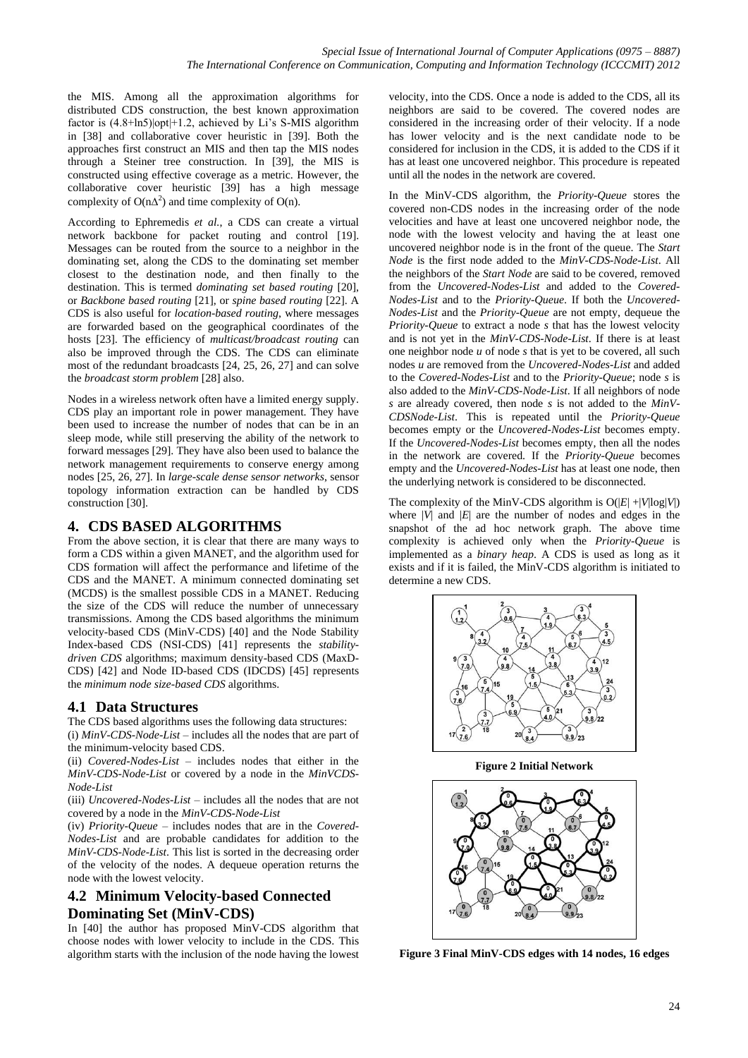the MIS. Among all the approximation algorithms for distributed CDS construction, the best known approximation factor is  $(4.8 + \ln 5)|opt| + 1.2$ , achieved by Li's S-MIS algorithm in [38] and collaborative cover heuristic in [39]. Both the approaches first construct an MIS and then tap the MIS nodes through a Steiner tree construction. In [39], the MIS is constructed using effective coverage as a metric. However, the collaborative cover heuristic [39] has a high message complexity of  $O(n\Delta^2)$  and time complexity of  $O(n)$ .

According to Ephremedis *et al.*, a CDS can create a virtual network backbone for packet routing and control [19]. Messages can be routed from the source to a neighbor in the dominating set, along the CDS to the dominating set member closest to the destination node, and then finally to the destination. This is termed *dominating set based routing* [20], or *Backbone based routing* [21], or *spine based routing* [22]. A CDS is also useful for *location-based routing*, where messages are forwarded based on the geographical coordinates of the hosts [23]. The efficiency of *multicast/broadcast routing* can also be improved through the CDS. The CDS can eliminate most of the redundant broadcasts [24, 25, 26, 27] and can solve the *broadcast storm problem* [28] also.

Nodes in a wireless network often have a limited energy supply. CDS play an important role in power management. They have been used to increase the number of nodes that can be in an sleep mode, while still preserving the ability of the network to forward messages [29]. They have also been used to balance the network management requirements to conserve energy among nodes [25, 26, 27]. In *large-scale dense sensor networks*, sensor topology information extraction can be handled by CDS construction [30].

## **4. CDS BASED ALGORITHMS**

From the above section, it is clear that there are many ways to form a CDS within a given MANET, and the algorithm used for CDS formation will affect the performance and lifetime of the CDS and the MANET. A minimum connected dominating set (MCDS) is the smallest possible CDS in a MANET. Reducing the size of the CDS will reduce the number of unnecessary transmissions. Among the CDS based algorithms the minimum velocity-based CDS (MinV-CDS) [40] and the Node Stability Index-based CDS (NSI-CDS) [41] represents the *stabilitydriven CDS* algorithms; maximum density-based CDS (MaxD-CDS) [42] and Node ID-based CDS (IDCDS) [45] represents the *minimum node size-based CDS* algorithms.

# **4.1 Data Structures**

The CDS based algorithms uses the following data structures: (i) *MinV-CDS-Node-List* – includes all the nodes that are part of the minimum-velocity based CDS.

(ii) *Covered-Nodes-List* – includes nodes that either in the *MinV-CDS-Node-List* or covered by a node in the *MinVCDS-Node-List*

(iii) *Uncovered-Nodes-List* – includes all the nodes that are not covered by a node in the *MinV-CDS-Node-List*

(iv) *Priority-Queue* – includes nodes that are in the *Covered-Nodes-List* and are probable candidates for addition to the *MinV-CDS-Node-List*. This list is sorted in the decreasing order of the velocity of the nodes. A dequeue operation returns the node with the lowest velocity.

# **4.2 Minimum Velocity-based Connected Dominating Set (MinV-CDS)**

In [40] the author has proposed MinV-CDS algorithm that choose nodes with lower velocity to include in the CDS. This algorithm starts with the inclusion of the node having the lowest velocity, into the CDS. Once a node is added to the CDS, all its neighbors are said to be covered. The covered nodes are considered in the increasing order of their velocity. If a node has lower velocity and is the next candidate node to be considered for inclusion in the CDS, it is added to the CDS if it has at least one uncovered neighbor. This procedure is repeated until all the nodes in the network are covered.

In the MinV-CDS algorithm, the *Priority-Queue* stores the covered non-CDS nodes in the increasing order of the node velocities and have at least one uncovered neighbor node, the node with the lowest velocity and having the at least one uncovered neighbor node is in the front of the queue. The *Start Node* is the first node added to the *MinV-CDS-Node-List*. All the neighbors of the *Start Node* are said to be covered, removed from the *Uncovered-Nodes-List* and added to the *Covered-Nodes-List* and to the *Priority-Queue*. If both the *Uncovered-Nodes-List* and the *Priority-Queue* are not empty, dequeue the *Priority-Queue* to extract a node *s* that has the lowest velocity and is not yet in the *MinV-CDS-Node-List*. If there is at least one neighbor node *u* of node *s* that is yet to be covered, all such nodes *u* are removed from the *Uncovered-Nodes-List* and added to the *Covered-Nodes-List* and to the *Priority-Queue*; node *s* is also added to the *MinV-CDS-Node-List*. If all neighbors of node *s* are already covered, then node *s* is not added to the *MinV-CDSNode-List*. This is repeated until the *Priority-Queue*  becomes empty or the *Uncovered-Nodes-List* becomes empty. If the *Uncovered-Nodes-List* becomes empty, then all the nodes in the network are covered. If the *Priority-Queue* becomes empty and the *Uncovered-Nodes-List* has at least one node, then the underlying network is considered to be disconnected.

The complexity of the MinV-CDS algorithm is  $O(|E| + |V| \log |V|)$ where  $|V|$  and  $|E|$  are the number of nodes and edges in the snapshot of the ad hoc network graph. The above time complexity is achieved only when the *Priority-Queue* is implemented as a *binary heap*. A CDS is used as long as it exists and if it is failed, the MinV-CDS algorithm is initiated to determine a new CDS.



**Figure 2 Initial Network**



**Figure 3 Final MinV-CDS edges with 14 nodes, 16 edges**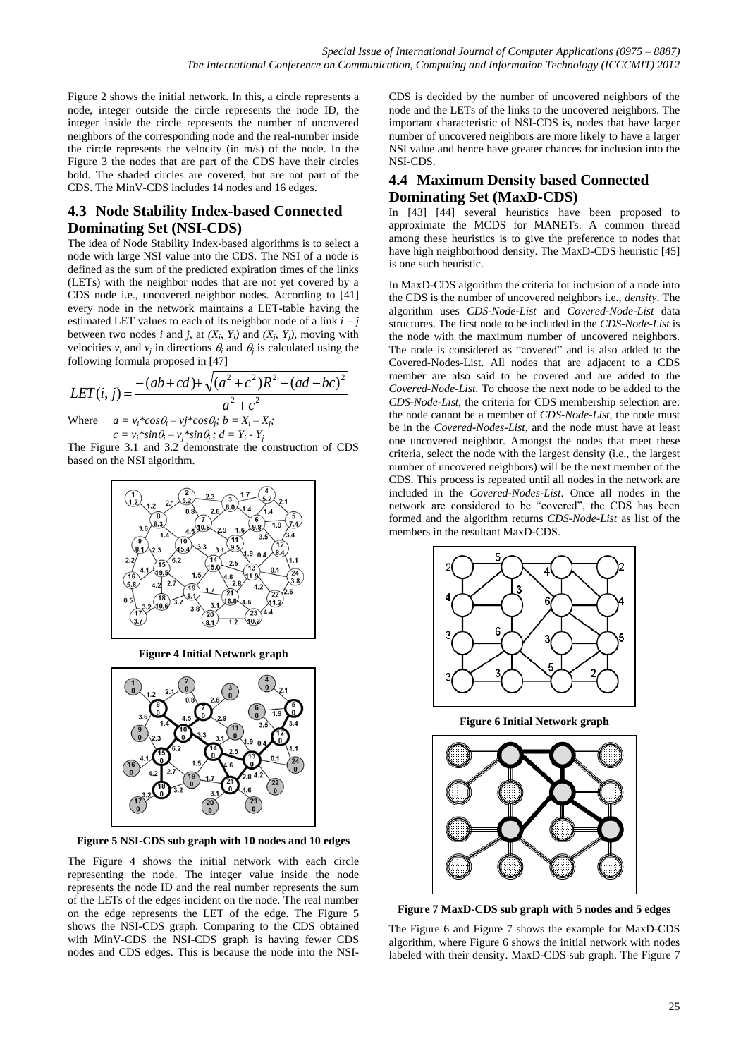Figure 2 shows the initial network. In this, a circle represents a node, integer outside the circle represents the node ID, the integer inside the circle represents the number of uncovered neighbors of the corresponding node and the real-number inside the circle represents the velocity (in m/s) of the node. In the Figure 3 the nodes that are part of the CDS have their circles bold. The shaded circles are covered, but are not part of the CDS. The MinV-CDS includes 14 nodes and 16 edges.

# **4.3 Node Stability Index-based Connected Dominating Set (NSI-CDS)**

The idea of Node Stability Index-based algorithms is to select a node with large NSI value into the CDS. The NSI of a node is defined as the sum of the predicted expiration times of the links (LETs) with the neighbor nodes that are not yet covered by a CDS node i.e., uncovered neighbor nodes. According to [41] every node in the network maintains a LET-table having the estimated LET values to each of its neighbor node of a link  $i - j$ between two nodes *i* and *j*, at  $(X_i, Y_i)$  and  $(X_j, Y_j)$ , moving with velocities  $v_i$  and  $v_j$  in directions  $\theta_i$  and  $\theta_j$  is calculated using the following formula proposed in [47]

$$
LET(i, j) = \frac{-(ab+cd)+\sqrt{(a^{2}+c^{2})R^{2}-(ad-bc)^{2}}}{a^{2}+c^{2}}
$$
  
Where  $a = v_{i}*cos\theta_{i}-v_{j}*cos\theta_{j}; b = X_{i}-X_{j};$ 

$$
c = v_i^* \sin \theta_i - v_j^* \sin \theta_j; d = Y_i - Y_j
$$

The Figure 3.1 and 3.2 demonstrate the construction of CDS based on the NSI algorithm.



**Figure 4 Initial Network graph**



**Figure 5 NSI-CDS sub graph with 10 nodes and 10 edges**

The Figure 4 shows the initial network with each circle representing the node. The integer value inside the node represents the node ID and the real number represents the sum of the LETs of the edges incident on the node. The real number on the edge represents the LET of the edge. The Figure 5 shows the NSI-CDS graph. Comparing to the CDS obtained with MinV-CDS the NSI-CDS graph is having fewer CDS nodes and CDS edges. This is because the node into the NSI-

CDS is decided by the number of uncovered neighbors of the node and the LETs of the links to the uncovered neighbors. The important characteristic of NSI-CDS is, nodes that have larger number of uncovered neighbors are more likely to have a larger NSI value and hence have greater chances for inclusion into the NSI-CDS.

## **4.4 Maximum Density based Connected Dominating Set (MaxD-CDS)**

In [43] [44] several heuristics have been proposed to approximate the MCDS for MANETs. A common thread among these heuristics is to give the preference to nodes that have high neighborhood density. The MaxD-CDS heuristic [45] is one such heuristic.

In MaxD-CDS algorithm the criteria for inclusion of a node into the CDS is the number of uncovered neighbors i.e., *density*. The algorithm uses *CDS-Node-List* and *Covered-Node-List* data structures. The first node to be included in the *CDS-Node-List* is the node with the maximum number of uncovered neighbors. The node is considered as "covered" and is also added to the Covered-Nodes-List. All nodes that are adjacent to a CDS member are also said to be covered and are added to the *Covered-Node-List*. To choose the next node to be added to the *CDS-Node-List*, the criteria for CDS membership selection are: the node cannot be a member of *CDS-Node-List*, the node must be in the *Covered-Nodes-List*, and the node must have at least one uncovered neighbor. Amongst the nodes that meet these criteria, select the node with the largest density (i.e., the largest number of uncovered neighbors) will be the next member of the CDS. This process is repeated until all nodes in the network are included in the *Covered-Nodes-List*. Once all nodes in the network are considered to be "covered", the CDS has been formed and the algorithm returns *CDS-Node-List* as list of the members in the resultant MaxD-CDS.



**Figure 6 Initial Network graph**



**Figure 7 MaxD-CDS sub graph with 5 nodes and 5 edges**

The Figure 6 and Figure 7 shows the example for MaxD-CDS algorithm, where Figure 6 shows the initial network with nodes labeled with their density. MaxD-CDS sub graph. The Figure 7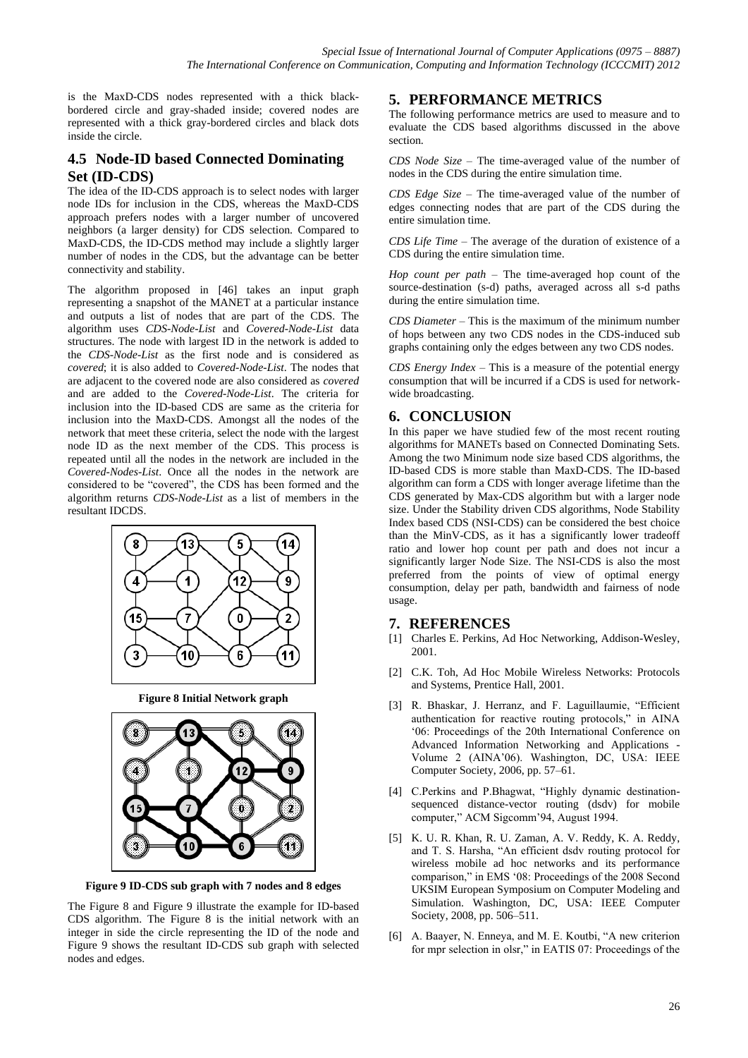is the MaxD-CDS nodes represented with a thick blackbordered circle and gray-shaded inside; covered nodes are represented with a thick gray-bordered circles and black dots inside the circle.

# **4.5 Node-ID based Connected Dominating Set (ID-CDS)**

The idea of the ID-CDS approach is to select nodes with larger node IDs for inclusion in the CDS, whereas the MaxD-CDS approach prefers nodes with a larger number of uncovered neighbors (a larger density) for CDS selection. Compared to MaxD-CDS, the ID-CDS method may include a slightly larger number of nodes in the CDS, but the advantage can be better connectivity and stability.

The algorithm proposed in [46] takes an input graph representing a snapshot of the MANET at a particular instance and outputs a list of nodes that are part of the CDS. The algorithm uses *CDS-Node-List* and *Covered-Node-List* data structures. The node with largest ID in the network is added to the *CDS-Node-List* as the first node and is considered as *covered*; it is also added to *Covered-Node-List*. The nodes that are adjacent to the covered node are also considered as *covered* and are added to the *Covered-Node-List*. The criteria for inclusion into the ID-based CDS are same as the criteria for inclusion into the MaxD-CDS. Amongst all the nodes of the network that meet these criteria, select the node with the largest node ID as the next member of the CDS. This process is repeated until all the nodes in the network are included in the *Covered-Nodes-List*. Once all the nodes in the network are considered to be "covered", the CDS has been formed and the algorithm returns *CDS-Node-List* as a list of members in the resultant IDCDS.



**Figure 8 Initial Network graph**



**Figure 9 ID-CDS sub graph with 7 nodes and 8 edges**

The Figure 8 and Figure 9 illustrate the example for ID-based CDS algorithm. The Figure 8 is the initial network with an integer in side the circle representing the ID of the node and Figure 9 shows the resultant ID-CDS sub graph with selected nodes and edges.

## **5. PERFORMANCE METRICS**

The following performance metrics are used to measure and to evaluate the CDS based algorithms discussed in the above section.

*CDS Node Size* – The time-averaged value of the number of nodes in the CDS during the entire simulation time.

*CDS Edge Size* – The time-averaged value of the number of edges connecting nodes that are part of the CDS during the entire simulation time.

*CDS Life Time* – The average of the duration of existence of a CDS during the entire simulation time.

*Hop count per path* – The time-averaged hop count of the source-destination (s-d) paths, averaged across all s-d paths during the entire simulation time.

*CDS Diameter* – This is the maximum of the minimum number of hops between any two CDS nodes in the CDS-induced sub graphs containing only the edges between any two CDS nodes.

*CDS Energy Index* – This is a measure of the potential energy consumption that will be incurred if a CDS is used for networkwide broadcasting.

## **6. CONCLUSION**

In this paper we have studied few of the most recent routing algorithms for MANETs based on Connected Dominating Sets. Among the two Minimum node size based CDS algorithms, the ID-based CDS is more stable than MaxD-CDS. The ID-based algorithm can form a CDS with longer average lifetime than the CDS generated by Max-CDS algorithm but with a larger node size. Under the Stability driven CDS algorithms, Node Stability Index based CDS (NSI-CDS) can be considered the best choice than the MinV-CDS, as it has a significantly lower tradeoff ratio and lower hop count per path and does not incur a significantly larger Node Size. The NSI-CDS is also the most preferred from the points of view of optimal energy consumption, delay per path, bandwidth and fairness of node usage.

#### **7. REFERENCES**

- [1] Charles E. Perkins, Ad Hoc Networking, Addison-Wesley, 2001.
- [2] C.K. Toh, Ad Hoc Mobile Wireless Networks: Protocols and Systems, Prentice Hall, 2001.
- [3] R. Bhaskar, J. Herranz, and F. Laguillaumie, "Efficient authentication for reactive routing protocols," in AINA ‗06: Proceedings of the 20th International Conference on Advanced Information Networking and Applications - Volume 2 (AINA'06). Washington, DC, USA: IEEE Computer Society, 2006, pp. 57–61.
- [4] C.Perkins and P.Bhagwat, "Highly dynamic destinationsequenced distance-vector routing (dsdv) for mobile computer," ACM Sigcomm'94, August 1994.
- [5] K. U. R. Khan, R. U. Zaman, A. V. Reddy, K. A. Reddy, and T. S. Harsha, "An efficient dsdv routing protocol for wireless mobile ad hoc networks and its performance comparison," in EMS '08: Proceedings of the 2008 Second UKSIM European Symposium on Computer Modeling and Simulation. Washington, DC, USA: IEEE Computer Society, 2008, pp. 506–511.
- [6] A. Baayer, N. Enneya, and M. E. Koutbi, "A new criterion for mpr selection in olsr," in EATIS 07: Proceedings of the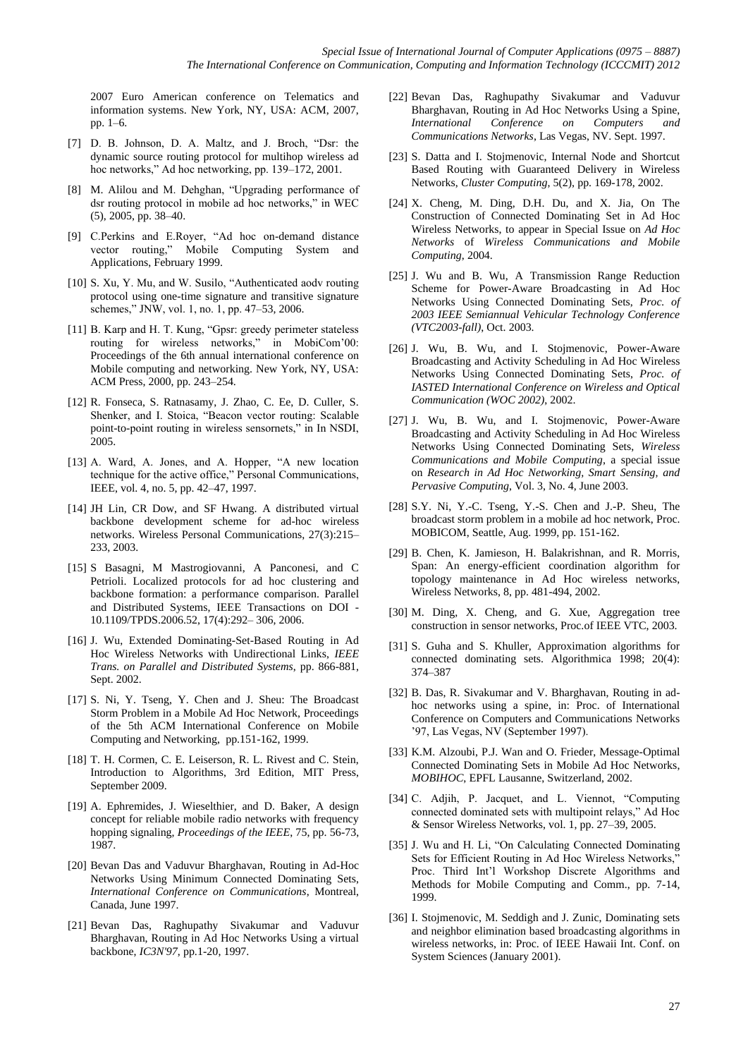2007 Euro American conference on Telematics and information systems. New York, NY, USA: ACM, 2007, pp. 1–6.

- [7] D. B. Johnson, D. A. Maltz, and J. Broch, "Dsr: the dynamic source routing protocol for multihop wireless ad hoc networks," Ad hoc networking, pp. 139–172, 2001.
- [8] M. Alilou and M. Dehghan, "Upgrading performance of dsr routing protocol in mobile ad hoc networks," in WEC (5), 2005, pp. 38–40.
- [9] C.Perkins and E.Royer, "Ad hoc on-demand distance vector routing," Mobile Computing System and Applications, February 1999.
- [10] S. Xu, Y. Mu, and W. Susilo, "Authenticated aodv routing protocol using one-time signature and transitive signature schemes," JNW, vol. 1, no. 1, pp. 47–53, 2006.
- [11] B. Karp and H. T. Kung, "Gpsr: greedy perimeter stateless routing for wireless networks," in MobiCom'00: Proceedings of the 6th annual international conference on Mobile computing and networking. New York, NY, USA: ACM Press, 2000, pp. 243–254.
- [12] R. Fonseca, S. Ratnasamy, J. Zhao, C. Ee, D. Culler, S. Shenker, and I. Stoica, "Beacon vector routing: Scalable point-to-point routing in wireless sensornets," in In NSDI, 2005.
- [13] A. Ward, A. Jones, and A. Hopper, "A new location technique for the active office," Personal Communications, IEEE, vol. 4, no. 5, pp. 42–47, 1997.
- [14] JH Lin, CR Dow, and SF Hwang. A distributed virtual backbone development scheme for ad-hoc wireless networks. Wireless Personal Communications, 27(3):215– 233, 2003.
- [15] S Basagni, M Mastrogiovanni, A Panconesi, and C Petrioli. Localized protocols for ad hoc clustering and backbone formation: a performance comparison. Parallel and Distributed Systems, IEEE Transactions on DOI - 10.1109/TPDS.2006.52, 17(4):292– 306, 2006.
- [16] J. Wu, Extended Dominating-Set-Based Routing in Ad Hoc Wireless Networks with Undirectional Links, *IEEE Trans. on Parallel and Distributed Systems*, pp. 866-881, Sept. 2002.
- [17] S. Ni, Y. Tseng, Y. Chen and J. Sheu: The Broadcast Storm Problem in a Mobile Ad Hoc Network, Proceedings of the 5th ACM International Conference on Mobile Computing and Networking, pp.151-162, 1999.
- [18] T. H. Cormen, C. E. Leiserson, R. L. Rivest and C. Stein, Introduction to Algorithms, 3rd Edition, MIT Press, September 2009.
- [19] A. Ephremides, J. Wieselthier, and D. Baker, A design concept for reliable mobile radio networks with frequency hopping signaling, *Proceedings of the IEEE*, 75, pp. 56-73, 1987.
- [20] Bevan Das and Vaduvur Bharghavan, Routing in Ad-Hoc Networks Using Minimum Connected Dominating Sets, *International Conference on Communications*, Montreal, Canada, June 1997.
- [21] Bevan Das, Raghupathy Sivakumar and Vaduvur Bharghavan, Routing in Ad Hoc Networks Using a virtual backbone, *IC3N'97*, pp.1-20, 1997.
- [22] Bevan Das, Raghupathy Sivakumar and Vaduvur Bharghavan, Routing in Ad Hoc Networks Using a Spine, *International Conference on Computers and Communications Networks*, Las Vegas, NV. Sept. 1997.
- [23] S. Datta and I. Stojmenovic, Internal Node and Shortcut Based Routing with Guaranteed Delivery in Wireless Networks, *Cluster Computing*, 5(2), pp. 169-178, 2002.
- [24] X. Cheng, M. Ding, D.H. Du, and X. Jia, On The Construction of Connected Dominating Set in Ad Hoc Wireless Networks, to appear in Special Issue on *Ad Hoc Networks* of *Wireless Communications and Mobile Computing*, 2004.
- [25] J. Wu and B. Wu, A Transmission Range Reduction Scheme for Power-Aware Broadcasting in Ad Hoc Networks Using Connected Dominating Sets, *Proc. of 2003 IEEE Semiannual Vehicular Technology Conference (VTC2003-fall)*, Oct. 2003.
- [26] J. Wu, B. Wu, and I. Stojmenovic, Power-Aware Broadcasting and Activity Scheduling in Ad Hoc Wireless Networks Using Connected Dominating Sets, *Proc. of IASTED International Conference on Wireless and Optical Communication (WOC 2002)*, 2002.
- [27] J. Wu, B. Wu, and I. Stojmenovic, Power-Aware Broadcasting and Activity Scheduling in Ad Hoc Wireless Networks Using Connected Dominating Sets, *Wireless Communications and Mobile Computing*, a special issue on *Research in Ad Hoc Networking, Smart Sensing, and Pervasive Computing*, Vol. 3, No. 4, June 2003.
- [28] S.Y. Ni, Y.-C. Tseng, Y.-S. Chen and J.-P. Sheu, The broadcast storm problem in a mobile ad hoc network, Proc. MOBICOM, Seattle, Aug. 1999, pp. 151-162.
- [29] B. Chen, K. Jamieson, H. Balakrishnan, and R. Morris, Span: An energy-efficient coordination algorithm for topology maintenance in Ad Hoc wireless networks, Wireless Networks, 8, pp. 481-494, 2002.
- [30] M. Ding, X. Cheng, and G. Xue, Aggregation tree construction in sensor networks, Proc.of IEEE VTC, 2003.
- [31] S. Guha and S. Khuller, Approximation algorithms for connected dominating sets. Algorithmica 1998; 20(4): 374–387
- [32] B. Das, R. Sivakumar and V. Bharghavan, Routing in adhoc networks using a spine, in: Proc. of International Conference on Computers and Communications Networks '97, Las Vegas, NV (September 1997).
- [33] K.M. Alzoubi, P.J. Wan and O. Frieder, Message-Optimal Connected Dominating Sets in Mobile Ad Hoc Networks, *MOBIHOC*, EPFL Lausanne, Switzerland, 2002.
- [34] C. Adjih, P. Jacquet, and L. Viennot, "Computing connected dominated sets with multipoint relays," Ad Hoc & Sensor Wireless Networks, vol. 1, pp. 27–39, 2005.
- [35] J. Wu and H. Li, "On Calculating Connected Dominating Sets for Efficient Routing in Ad Hoc Wireless Networks,' Proc. Third Int'l Workshop Discrete Algorithms and Methods for Mobile Computing and Comm., pp. 7-14, 1999.
- [36] I. Stojmenovic, M. Seddigh and J. Zunic, Dominating sets and neighbor elimination based broadcasting algorithms in wireless networks, in: Proc. of IEEE Hawaii Int. Conf. on System Sciences (January 2001).